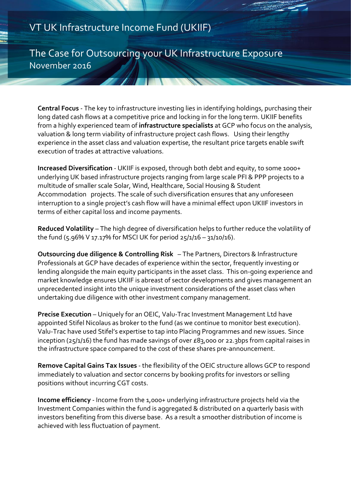## VT UK Infrastructure Income Fund (UKIIF)

The Case for Outsourcing your UK Infrastructure Exposure November 2016

**Central Focus** - The key to infrastructure investing lies in identifying holdings, purchasing their long dated cash flows at a competitive price and locking in for the long term. UKIIF benefits from a highly experienced team of **infrastructure specialists** at GCP who focus on the analysis, valuation & long term viability of infrastructure project cash flows. Using their lengthy experience in the asset class and valuation expertise, the resultant price targets enable swift execution of trades at attractive valuations.

**Increased Diversification** - UKIIF is exposed, through both debt and equity, to some 1000+ underlying UK based infrastructure projects ranging from large scale PFI & PPP projects to a multitude of smaller scale Solar, Wind, Healthcare, Social Housing & Student Accommodation projects. The scale of such diversification ensures that any unforeseen interruption to a single project's cash flow will have a minimal effect upon UKIIF investors in terms of either capital loss and income payments.

**Reduced Volatility** – The high degree of diversification helps to further reduce the volatility of the fund (5.96% V 17.17% for MSCI UK for period  $25/1/16 - 31/10/16$ ).

**Outsourcing due diligence & Controlling Risk** – The Partners, Directors & Infrastructure Professionals at GCP have decades of experience within the sector, frequently investing or lending alongside the main equity participants in the asset class. This on-going experience and market knowledge ensures UKIIF is abreast of sector developments and gives management an unprecedented insight into the unique investment considerations of the asset class when undertaking due diligence with other investment company management.

**Precise Execution** – Uniquely for an OEIC, Valu-Trac Investment Management Ltd have appointed Stifel Nicolaus as broker to the fund (as we continue to monitor best execution). Valu-Trac have used Stifel's expertise to tap into Placing Programmes and new issues. Since inception (25/1/16) the fund has made savings of over £83,000 or 22.3bps from capital raises in the infrastructure space compared to the cost of these shares pre-announcement.

**Remove Capital Gains Tax Issues** - the flexibility of the OEIC structure allows GCP to respond immediately to valuation and sector concerns by booking profits for investors or selling positions without incurring CGT costs.

**Income efficiency** - Income from the 1,000+ underlying infrastructure projects held via the Investment Companies within the fund is aggregated & distributed on a quarterly basis with investors benefiting from this diverse base. As a result a smoother distribution of income is achieved with less fluctuation of payment.